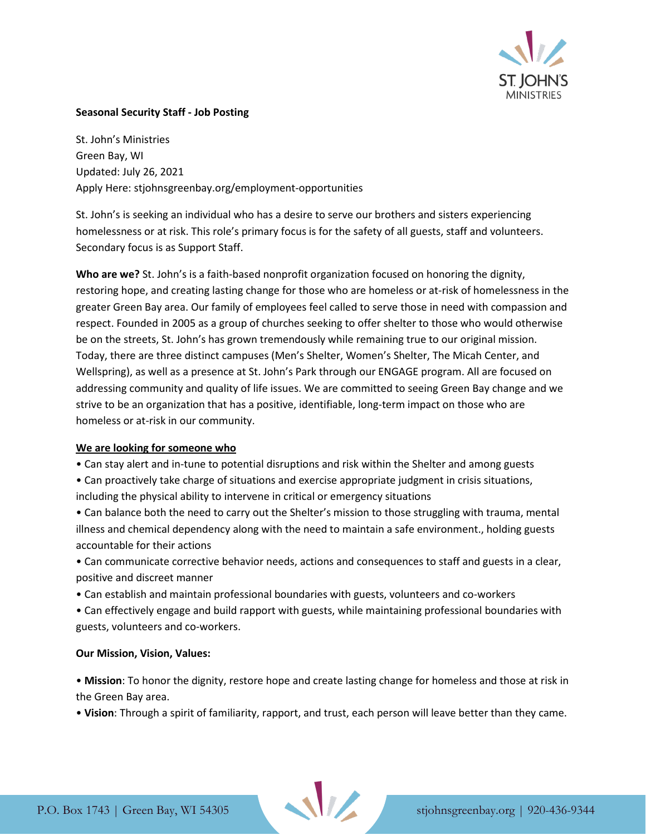

## **Seasonal Security Staff - Job Posting**

St. John's Ministries Green Bay, WI Updated: July 26, 2021 Apply Here: stjohnsgreenbay.org/employment-opportunities

St. John's is seeking an individual who has a desire to serve our brothers and sisters experiencing homelessness or at risk. This role's primary focus is for the safety of all guests, staff and volunteers. Secondary focus is as Support Staff.

**Who are we?** St. John's is a faith-based nonprofit organization focused on honoring the dignity, restoring hope, and creating lasting change for those who are homeless or at-risk of homelessness in the greater Green Bay area. Our family of employees feel called to serve those in need with compassion and respect. Founded in 2005 as a group of churches seeking to offer shelter to those who would otherwise be on the streets, St. John's has grown tremendously while remaining true to our original mission. Today, there are three distinct campuses (Men's Shelter, Women's Shelter, The Micah Center, and Wellspring), as well as a presence at St. John's Park through our ENGAGE program. All are focused on addressing community and quality of life issues. We are committed to seeing Green Bay change and we strive to be an organization that has a positive, identifiable, long-term impact on those who are homeless or at-risk in our community.

#### **We are looking for someone who**

- Can stay alert and in-tune to potential disruptions and risk within the Shelter and among guests
- Can proactively take charge of situations and exercise appropriate judgment in crisis situations, including the physical ability to intervene in critical or emergency situations
- Can balance both the need to carry out the Shelter's mission to those struggling with trauma, mental illness and chemical dependency along with the need to maintain a safe environment., holding guests accountable for their actions
- Can communicate corrective behavior needs, actions and consequences to staff and guests in a clear, positive and discreet manner
- Can establish and maintain professional boundaries with guests, volunteers and co-workers
- Can effectively engage and build rapport with guests, while maintaining professional boundaries with guests, volunteers and co-workers.

#### **Our Mission, Vision, Values:**

• **Mission**: To honor the dignity, restore hope and create lasting change for homeless and those at risk in the Green Bay area.

• **Vision**: Through a spirit of familiarity, rapport, and trust, each person will leave better than they came.